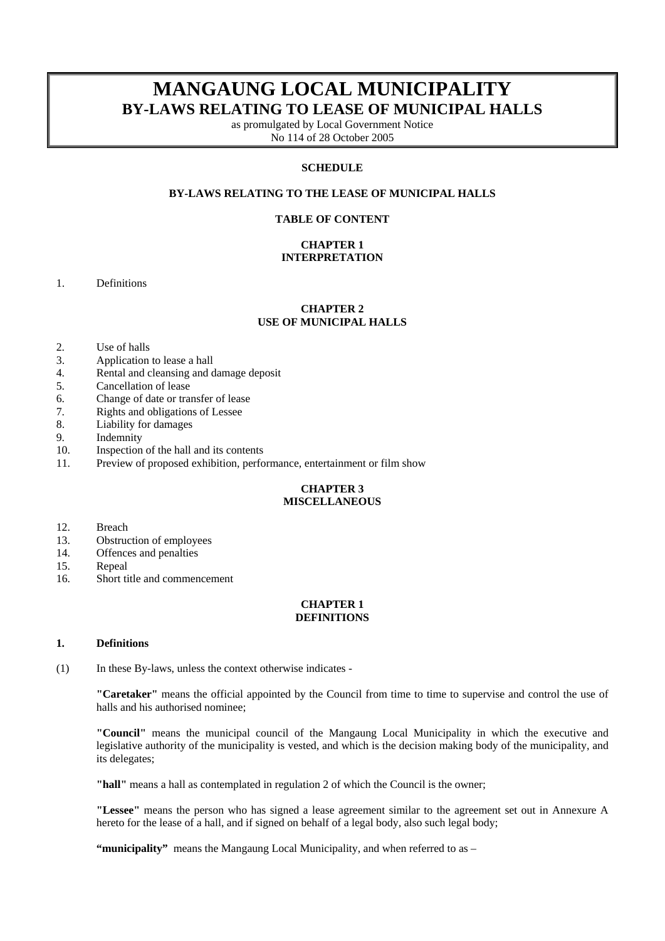# **MANGAUNG LOCAL MUNICIPALITY BY-LAWS RELATING TO LEASE OF MUNICIPAL HALLS**

as promulgated by Local Government Notice No 114 of 28 October 2005

# **SCHEDULE**

# **BY-LAWS RELATING TO THE LEASE OF MUNICIPAL HALLS**

### **TABLE OF CONTENT**

### **CHAPTER 1 INTERPRETATION**

1. Definitions

### **CHAPTER 2 USE OF MUNICIPAL HALLS**

- 2. Use of halls
- 3. Application to lease a hall
- 4. Rental and cleansing and damage deposit
- 5. Cancellation of lease
- 6. Change of date or transfer of lease
- 7. Rights and obligations of Lessee
- 8. Liability for damages
- 9. Indemnity
- 10. Inspection of the hall and its contents
- 11. Preview of proposed exhibition, performance, entertainment or film show

#### **CHAPTER 3 MISCELLANEOUS**

- 12. Breach
- 13. Obstruction of employees
- 14. Offences and penalties
- 15. Repeal
- 16. Short title and commencement

### **CHAPTER 1 DEFINITIONS**

#### **1. Definitions**

(1) In these By-laws, unless the context otherwise indicates -

 **"Caretaker"** means the official appointed by the Council from time to time to supervise and control the use of halls and his authorised nominee;

 **"Council"** means the municipal council of the Mangaung Local Municipality in which the executive and legislative authority of the municipality is vested, and which is the decision making body of the municipality, and its delegates;

 **"hall"** means a hall as contemplated in regulation 2 of which the Council is the owner;

 **"Lessee"** means the person who has signed a lease agreement similar to the agreement set out in Annexure A hereto for the lease of a hall, and if signed on behalf of a legal body, also such legal body;

 **"municipality"** means the Mangaung Local Municipality, and when referred to as –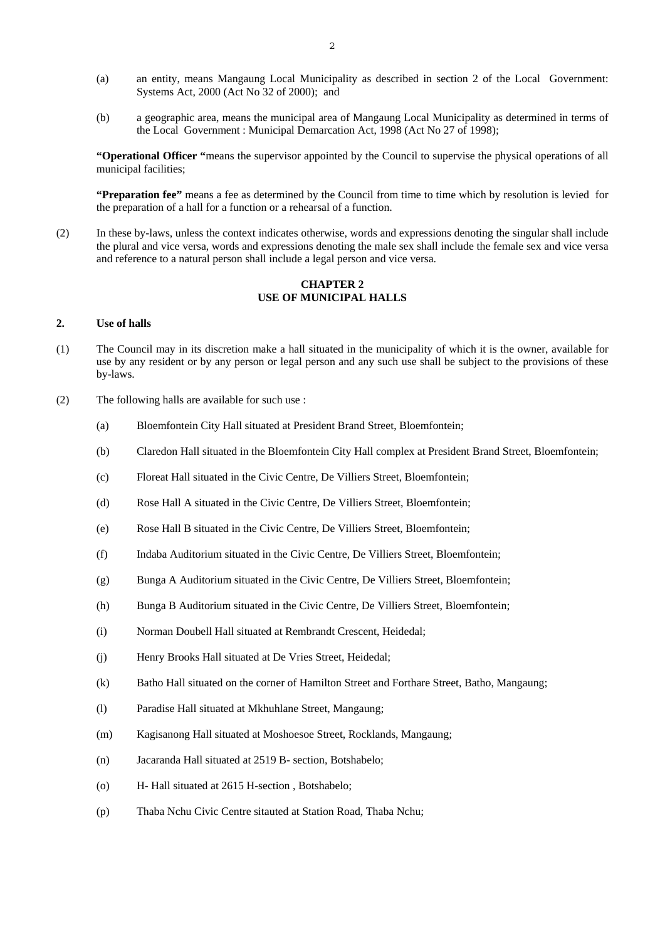- (a) an entity, means Mangaung Local Municipality as described in section 2 of the Local Government: Systems Act, 2000 (Act No 32 of 2000); and
- (b) a geographic area, means the municipal area of Mangaung Local Municipality as determined in terms of the Local Government : Municipal Demarcation Act, 1998 (Act No 27 of 1998);

**"Operational Officer "**means the supervisor appointed by the Council to supervise the physical operations of all municipal facilities;

**"Preparation fee"** means a fee as determined by the Council from time to time which by resolution is levied for the preparation of a hall for a function or a rehearsal of a function.

(2) In these by-laws, unless the context indicates otherwise, words and expressions denoting the singular shall include the plural and vice versa, words and expressions denoting the male sex shall include the female sex and vice versa and reference to a natural person shall include a legal person and vice versa.

### **CHAPTER 2 USE OF MUNICIPAL HALLS**

### **2. Use of halls**

- (1) The Council may in its discretion make a hall situated in the municipality of which it is the owner, available for use by any resident or by any person or legal person and any such use shall be subject to the provisions of these by-laws.
- (2) The following halls are available for such use :
	- (a) Bloemfontein City Hall situated at President Brand Street, Bloemfontein;
	- (b) Claredon Hall situated in the Bloemfontein City Hall complex at President Brand Street, Bloemfontein;
	- (c) Floreat Hall situated in the Civic Centre, De Villiers Street, Bloemfontein;
	- (d) Rose Hall A situated in the Civic Centre, De Villiers Street, Bloemfontein;
	- (e) Rose Hall B situated in the Civic Centre, De Villiers Street, Bloemfontein;
	- (f) Indaba Auditorium situated in the Civic Centre, De Villiers Street, Bloemfontein;
	- (g) Bunga A Auditorium situated in the Civic Centre, De Villiers Street, Bloemfontein;
	- (h) Bunga B Auditorium situated in the Civic Centre, De Villiers Street, Bloemfontein;
	- (i) Norman Doubell Hall situated at Rembrandt Crescent, Heidedal;
	- (j) Henry Brooks Hall situated at De Vries Street, Heidedal;
	- (k) Batho Hall situated on the corner of Hamilton Street and Forthare Street, Batho, Mangaung;
	- (l) Paradise Hall situated at Mkhuhlane Street, Mangaung;
	- (m) Kagisanong Hall situated at Moshoesoe Street, Rocklands, Mangaung;
	- (n) Jacaranda Hall situated at 2519 B- section, Botshabelo;
	- (o) H- Hall situated at 2615 H-section , Botshabelo;
	- (p) Thaba Nchu Civic Centre sitauted at Station Road, Thaba Nchu;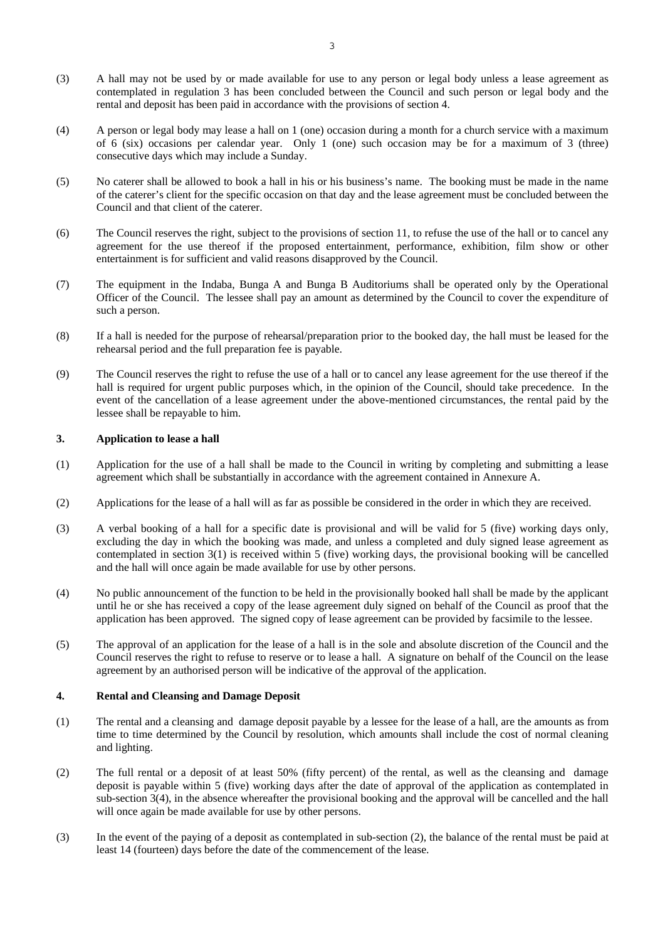- (3) A hall may not be used by or made available for use to any person or legal body unless a lease agreement as contemplated in regulation 3 has been concluded between the Council and such person or legal body and the rental and deposit has been paid in accordance with the provisions of section 4.
- (4) A person or legal body may lease a hall on 1 (one) occasion during a month for a church service with a maximum of 6 (six) occasions per calendar year. Only 1 (one) such occasion may be for a maximum of 3 (three) consecutive days which may include a Sunday.
- (5) No caterer shall be allowed to book a hall in his or his business's name. The booking must be made in the name of the caterer's client for the specific occasion on that day and the lease agreement must be concluded between the Council and that client of the caterer.
- (6) The Council reserves the right, subject to the provisions of section 11, to refuse the use of the hall or to cancel any agreement for the use thereof if the proposed entertainment, performance, exhibition, film show or other entertainment is for sufficient and valid reasons disapproved by the Council.
- (7) The equipment in the Indaba, Bunga A and Bunga B Auditoriums shall be operated only by the Operational Officer of the Council. The lessee shall pay an amount as determined by the Council to cover the expenditure of such a person.
- (8) If a hall is needed for the purpose of rehearsal/preparation prior to the booked day, the hall must be leased for the rehearsal period and the full preparation fee is payable.
- (9) The Council reserves the right to refuse the use of a hall or to cancel any lease agreement for the use thereof if the hall is required for urgent public purposes which, in the opinion of the Council, should take precedence. In the event of the cancellation of a lease agreement under the above-mentioned circumstances, the rental paid by the lessee shall be repayable to him.

### **3. Application to lease a hall**

- (1) Application for the use of a hall shall be made to the Council in writing by completing and submitting a lease agreement which shall be substantially in accordance with the agreement contained in Annexure A.
- (2) Applications for the lease of a hall will as far as possible be considered in the order in which they are received.
- (3) A verbal booking of a hall for a specific date is provisional and will be valid for 5 (five) working days only, excluding the day in which the booking was made, and unless a completed and duly signed lease agreement as contemplated in section 3(1) is received within 5 (five) working days, the provisional booking will be cancelled and the hall will once again be made available for use by other persons.
- (4) No public announcement of the function to be held in the provisionally booked hall shall be made by the applicant until he or she has received a copy of the lease agreement duly signed on behalf of the Council as proof that the application has been approved. The signed copy of lease agreement can be provided by facsimile to the lessee.
- (5) The approval of an application for the lease of a hall is in the sole and absolute discretion of the Council and the Council reserves the right to refuse to reserve or to lease a hall. A signature on behalf of the Council on the lease agreement by an authorised person will be indicative of the approval of the application.

### **4. Rental and Cleansing and Damage Deposit**

- (1) The rental and a cleansing and damage deposit payable by a lessee for the lease of a hall, are the amounts as from time to time determined by the Council by resolution, which amounts shall include the cost of normal cleaning and lighting.
- (2) The full rental or a deposit of at least 50% (fifty percent) of the rental, as well as the cleansing and damage deposit is payable within 5 (five) working days after the date of approval of the application as contemplated in sub-section 3(4), in the absence whereafter the provisional booking and the approval will be cancelled and the hall will once again be made available for use by other persons.
- (3) In the event of the paying of a deposit as contemplated in sub-section (2), the balance of the rental must be paid at least 14 (fourteen) days before the date of the commencement of the lease.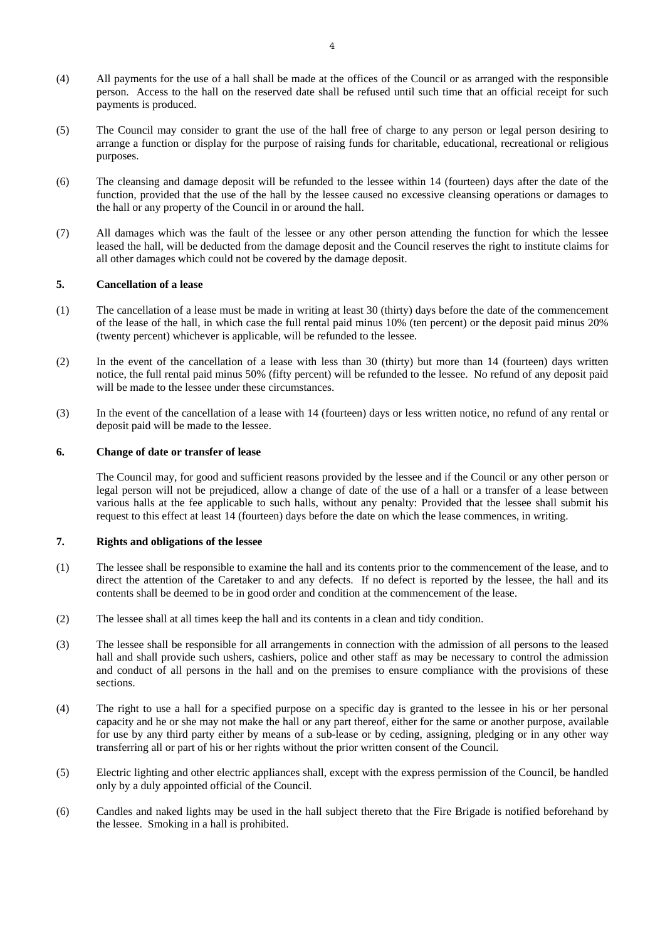- (4) All payments for the use of a hall shall be made at the offices of the Council or as arranged with the responsible person. Access to the hall on the reserved date shall be refused until such time that an official receipt for such payments is produced.
- (5) The Council may consider to grant the use of the hall free of charge to any person or legal person desiring to arrange a function or display for the purpose of raising funds for charitable, educational, recreational or religious purposes.
- (6) The cleansing and damage deposit will be refunded to the lessee within 14 (fourteen) days after the date of the function, provided that the use of the hall by the lessee caused no excessive cleansing operations or damages to the hall or any property of the Council in or around the hall.
- (7) All damages which was the fault of the lessee or any other person attending the function for which the lessee leased the hall, will be deducted from the damage deposit and the Council reserves the right to institute claims for all other damages which could not be covered by the damage deposit.

### **5. Cancellation of a lease**

- (1) The cancellation of a lease must be made in writing at least 30 (thirty) days before the date of the commencement of the lease of the hall, in which case the full rental paid minus 10% (ten percent) or the deposit paid minus 20% (twenty percent) whichever is applicable, will be refunded to the lessee.
- (2) In the event of the cancellation of a lease with less than 30 (thirty) but more than 14 (fourteen) days written notice, the full rental paid minus 50% (fifty percent) will be refunded to the lessee. No refund of any deposit paid will be made to the lessee under these circumstances.
- (3) In the event of the cancellation of a lease with 14 (fourteen) days or less written notice, no refund of any rental or deposit paid will be made to the lessee.

### **6. Change of date or transfer of lease**

 The Council may, for good and sufficient reasons provided by the lessee and if the Council or any other person or legal person will not be prejudiced, allow a change of date of the use of a hall or a transfer of a lease between various halls at the fee applicable to such halls, without any penalty: Provided that the lessee shall submit his request to this effect at least 14 (fourteen) days before the date on which the lease commences, in writing.

### **7. Rights and obligations of the lessee**

- (1) The lessee shall be responsible to examine the hall and its contents prior to the commencement of the lease, and to direct the attention of the Caretaker to and any defects. If no defect is reported by the lessee, the hall and its contents shall be deemed to be in good order and condition at the commencement of the lease.
- (2) The lessee shall at all times keep the hall and its contents in a clean and tidy condition.
- (3) The lessee shall be responsible for all arrangements in connection with the admission of all persons to the leased hall and shall provide such ushers, cashiers, police and other staff as may be necessary to control the admission and conduct of all persons in the hall and on the premises to ensure compliance with the provisions of these sections.
- (4) The right to use a hall for a specified purpose on a specific day is granted to the lessee in his or her personal capacity and he or she may not make the hall or any part thereof, either for the same or another purpose, available for use by any third party either by means of a sub-lease or by ceding, assigning, pledging or in any other way transferring all or part of his or her rights without the prior written consent of the Council.
- (5) Electric lighting and other electric appliances shall, except with the express permission of the Council, be handled only by a duly appointed official of the Council.
- (6) Candles and naked lights may be used in the hall subject thereto that the Fire Brigade is notified beforehand by the lessee. Smoking in a hall is prohibited.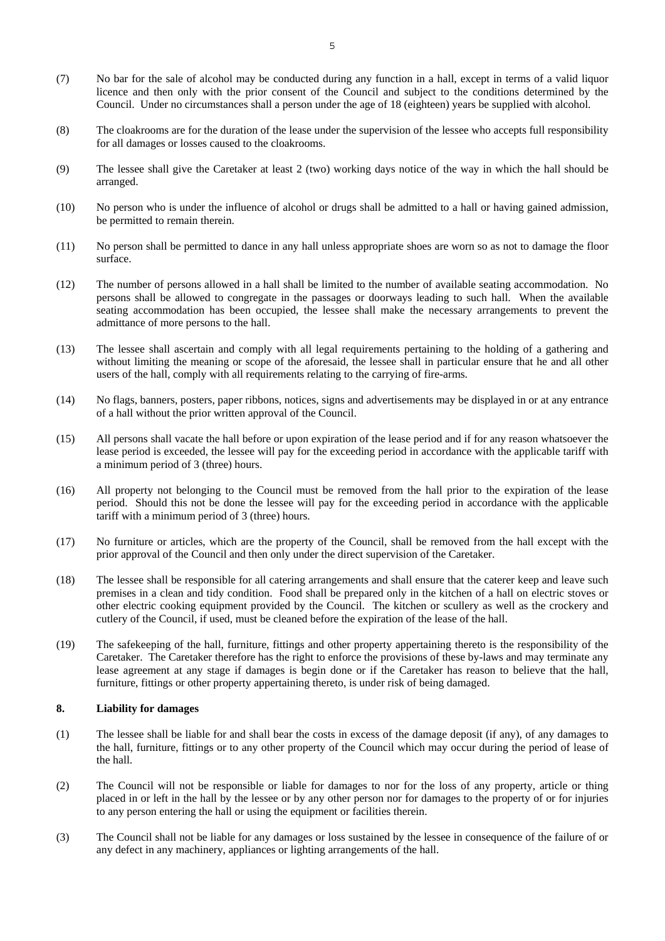- (7) No bar for the sale of alcohol may be conducted during any function in a hall, except in terms of a valid liquor licence and then only with the prior consent of the Council and subject to the conditions determined by the Council. Under no circumstances shall a person under the age of 18 (eighteen) years be supplied with alcohol.
- (8) The cloakrooms are for the duration of the lease under the supervision of the lessee who accepts full responsibility for all damages or losses caused to the cloakrooms.
- (9) The lessee shall give the Caretaker at least 2 (two) working days notice of the way in which the hall should be arranged.
- (10) No person who is under the influence of alcohol or drugs shall be admitted to a hall or having gained admission, be permitted to remain therein.
- (11) No person shall be permitted to dance in any hall unless appropriate shoes are worn so as not to damage the floor surface.
- (12) The number of persons allowed in a hall shall be limited to the number of available seating accommodation. No persons shall be allowed to congregate in the passages or doorways leading to such hall. When the available seating accommodation has been occupied, the lessee shall make the necessary arrangements to prevent the admittance of more persons to the hall.
- (13) The lessee shall ascertain and comply with all legal requirements pertaining to the holding of a gathering and without limiting the meaning or scope of the aforesaid, the lessee shall in particular ensure that he and all other users of the hall, comply with all requirements relating to the carrying of fire-arms.
- (14) No flags, banners, posters, paper ribbons, notices, signs and advertisements may be displayed in or at any entrance of a hall without the prior written approval of the Council.
- (15) All persons shall vacate the hall before or upon expiration of the lease period and if for any reason whatsoever the lease period is exceeded, the lessee will pay for the exceeding period in accordance with the applicable tariff with a minimum period of 3 (three) hours.
- (16) All property not belonging to the Council must be removed from the hall prior to the expiration of the lease period. Should this not be done the lessee will pay for the exceeding period in accordance with the applicable tariff with a minimum period of 3 (three) hours.
- (17) No furniture or articles, which are the property of the Council, shall be removed from the hall except with the prior approval of the Council and then only under the direct supervision of the Caretaker.
- (18) The lessee shall be responsible for all catering arrangements and shall ensure that the caterer keep and leave such premises in a clean and tidy condition. Food shall be prepared only in the kitchen of a hall on electric stoves or other electric cooking equipment provided by the Council. The kitchen or scullery as well as the crockery and cutlery of the Council, if used, must be cleaned before the expiration of the lease of the hall.
- (19) The safekeeping of the hall, furniture, fittings and other property appertaining thereto is the responsibility of the Caretaker. The Caretaker therefore has the right to enforce the provisions of these by-laws and may terminate any lease agreement at any stage if damages is begin done or if the Caretaker has reason to believe that the hall, furniture, fittings or other property appertaining thereto, is under risk of being damaged.

#### **8. Liability for damages**

- (1) The lessee shall be liable for and shall bear the costs in excess of the damage deposit (if any), of any damages to the hall, furniture, fittings or to any other property of the Council which may occur during the period of lease of the hall.
- (2) The Council will not be responsible or liable for damages to nor for the loss of any property, article or thing placed in or left in the hall by the lessee or by any other person nor for damages to the property of or for injuries to any person entering the hall or using the equipment or facilities therein.
- (3) The Council shall not be liable for any damages or loss sustained by the lessee in consequence of the failure of or any defect in any machinery, appliances or lighting arrangements of the hall.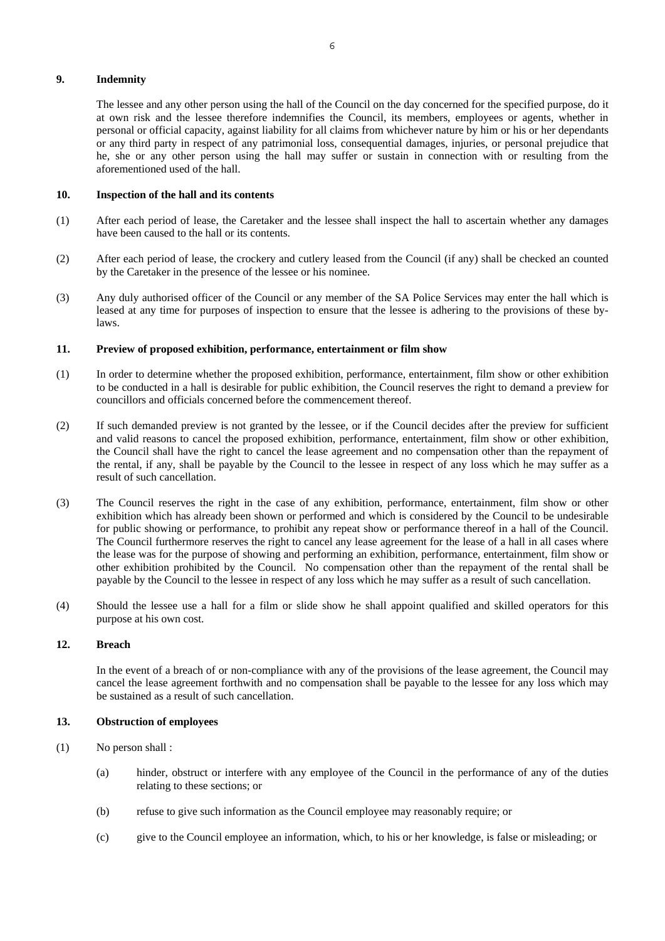### **9. Indemnity**

 The lessee and any other person using the hall of the Council on the day concerned for the specified purpose, do it at own risk and the lessee therefore indemnifies the Council, its members, employees or agents, whether in personal or official capacity, against liability for all claims from whichever nature by him or his or her dependants or any third party in respect of any patrimonial loss, consequential damages, injuries, or personal prejudice that he, she or any other person using the hall may suffer or sustain in connection with or resulting from the aforementioned used of the hall.

### **10. Inspection of the hall and its contents**

- (1) After each period of lease, the Caretaker and the lessee shall inspect the hall to ascertain whether any damages have been caused to the hall or its contents.
- (2) After each period of lease, the crockery and cutlery leased from the Council (if any) shall be checked an counted by the Caretaker in the presence of the lessee or his nominee.
- (3) Any duly authorised officer of the Council or any member of the SA Police Services may enter the hall which is leased at any time for purposes of inspection to ensure that the lessee is adhering to the provisions of these bylaws.

### **11. Preview of proposed exhibition, performance, entertainment or film show**

- (1) In order to determine whether the proposed exhibition, performance, entertainment, film show or other exhibition to be conducted in a hall is desirable for public exhibition, the Council reserves the right to demand a preview for councillors and officials concerned before the commencement thereof.
- (2) If such demanded preview is not granted by the lessee, or if the Council decides after the preview for sufficient and valid reasons to cancel the proposed exhibition, performance, entertainment, film show or other exhibition, the Council shall have the right to cancel the lease agreement and no compensation other than the repayment of the rental, if any, shall be payable by the Council to the lessee in respect of any loss which he may suffer as a result of such cancellation.
- (3) The Council reserves the right in the case of any exhibition, performance, entertainment, film show or other exhibition which has already been shown or performed and which is considered by the Council to be undesirable for public showing or performance, to prohibit any repeat show or performance thereof in a hall of the Council. The Council furthermore reserves the right to cancel any lease agreement for the lease of a hall in all cases where the lease was for the purpose of showing and performing an exhibition, performance, entertainment, film show or other exhibition prohibited by the Council. No compensation other than the repayment of the rental shall be payable by the Council to the lessee in respect of any loss which he may suffer as a result of such cancellation.
- (4) Should the lessee use a hall for a film or slide show he shall appoint qualified and skilled operators for this purpose at his own cost.

# **12. Breach**

 In the event of a breach of or non-compliance with any of the provisions of the lease agreement, the Council may cancel the lease agreement forthwith and no compensation shall be payable to the lessee for any loss which may be sustained as a result of such cancellation.

### **13. Obstruction of employees**

- (1) No person shall :
	- (a) hinder, obstruct or interfere with any employee of the Council in the performance of any of the duties relating to these sections; or
	- (b) refuse to give such information as the Council employee may reasonably require; or
	- (c) give to the Council employee an information, which, to his or her knowledge, is false or misleading; or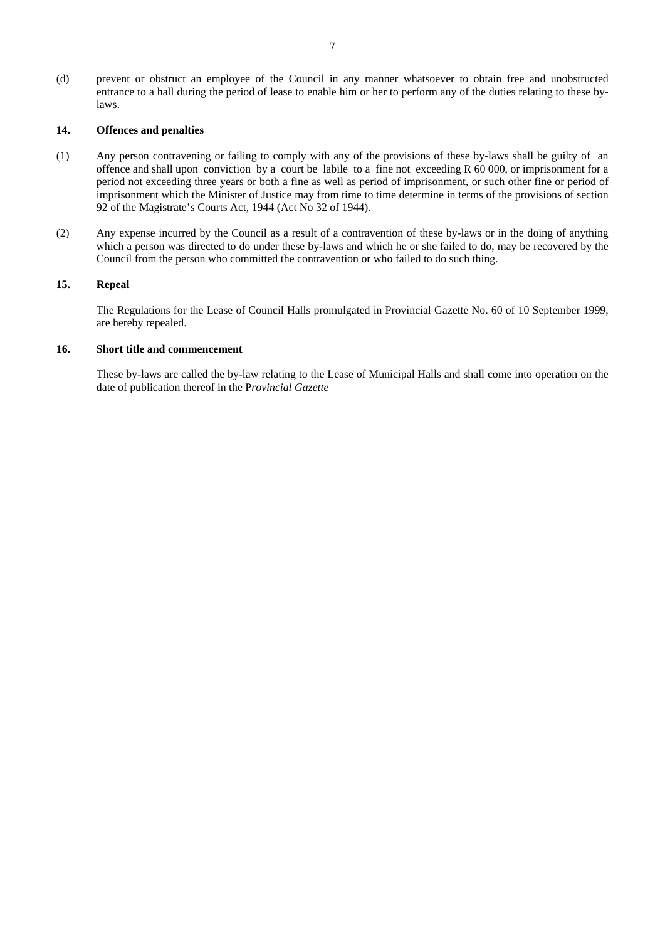(d) prevent or obstruct an employee of the Council in any manner whatsoever to obtain free and unobstructed entrance to a hall during the period of lease to enable him or her to perform any of the duties relating to these bylaws.

# **14. Offences and penalties**

- (1) Any person contravening or failing to comply with any of the provisions of these by-laws shall be guilty of an offence and shall upon conviction by a court be labile to a fine not exceeding R 60 000, or imprisonment for a period not exceeding three years or both a fine as well as period of imprisonment, or such other fine or period of imprisonment which the Minister of Justice may from time to time determine in terms of the provisions of section 92 of the Magistrate's Courts Act, 1944 (Act No 32 of 1944).
- (2) Any expense incurred by the Council as a result of a contravention of these by-laws or in the doing of anything which a person was directed to do under these by-laws and which he or she failed to do, may be recovered by the Council from the person who committed the contravention or who failed to do such thing.

### **15. Repeal**

 The Regulations for the Lease of Council Halls promulgated in Provincial Gazette No. 60 of 10 September 1999, are hereby repealed.

# **16. Short title and commencement**

 These by-laws are called the by-law relating to the Lease of Municipal Halls and shall come into operation on the date of publication thereof in the P*rovincial Gazette*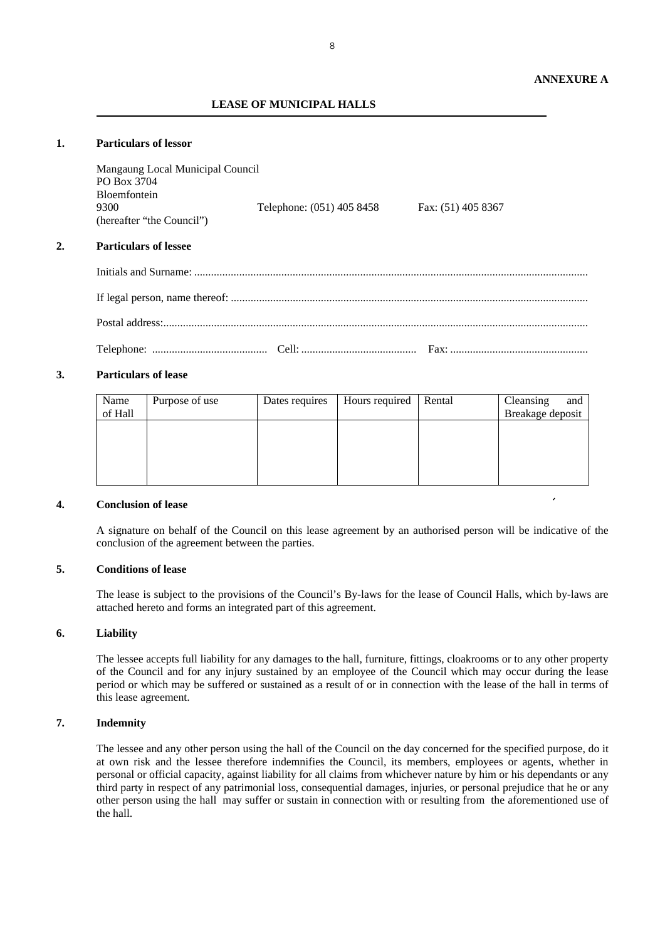### **LEASE OF MUNICIPAL HALLS**

# **1. Particulars of lessor**

|    | Mangaung Local Municipal Council<br>PO Box 3704<br><b>Bloemfontein</b><br>9300<br>(hereafter "the Council") | Telephone: (051) 405 8458 | Fax: (51) 405 8367 |
|----|-------------------------------------------------------------------------------------------------------------|---------------------------|--------------------|
| 2. | <b>Particulars of lessee</b>                                                                                |                           |                    |
|    |                                                                                                             |                           |                    |
|    |                                                                                                             |                           |                    |
|    |                                                                                                             |                           |                    |
|    |                                                                                                             |                           |                    |

#### **3. Particulars of lease**

| Name<br>of Hall | Purpose of use | Dates requires | Hours required | Rental | Cleansing<br>and<br>Breakage deposit |
|-----------------|----------------|----------------|----------------|--------|--------------------------------------|
|                 |                |                |                |        |                                      |
|                 |                |                |                |        |                                      |
|                 |                |                |                |        |                                      |

#### **4. Conclusion of lease**

A signature on behalf of the Council on this lease agreement by an authorised person will be indicative of the conclusion of the agreement between the parties.

# **5. Conditions of lease**

The lease is subject to the provisions of the Council's By-laws for the lease of Council Halls, which by-laws are attached hereto and forms an integrated part of this agreement.

#### **6. Liability**

The lessee accepts full liability for any damages to the hall, furniture, fittings, cloakrooms or to any other property of the Council and for any injury sustained by an employee of the Council which may occur during the lease period or which may be suffered or sustained as a result of or in connection with the lease of the hall in terms of this lease agreement.

### **7. Indemnity**

The lessee and any other person using the hall of the Council on the day concerned for the specified purpose, do it at own risk and the lessee therefore indemnifies the Council, its members, employees or agents, whether in personal or official capacity, against liability for all claims from whichever nature by him or his dependants or any third party in respect of any patrimonial loss, consequential damages, injuries, or personal prejudice that he or any other person using the hall may suffer or sustain in connection with or resulting from the aforementioned use of the hall.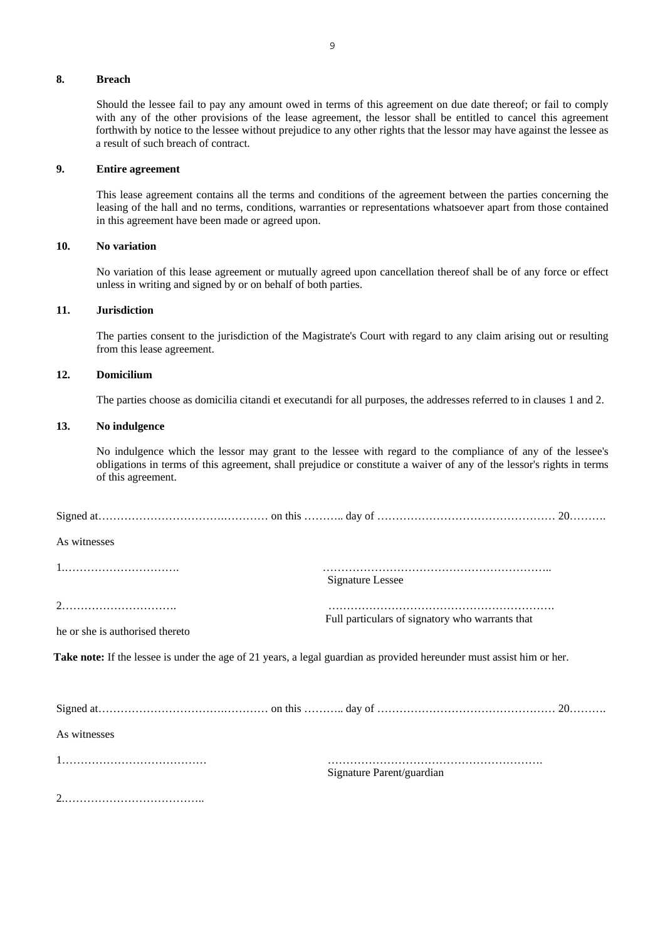### **8. Breach**

Should the lessee fail to pay any amount owed in terms of this agreement on due date thereof; or fail to comply with any of the other provisions of the lease agreement, the lessor shall be entitled to cancel this agreement forthwith by notice to the lessee without prejudice to any other rights that the lessor may have against the lessee as a result of such breach of contract.

### **9. Entire agreement**

This lease agreement contains all the terms and conditions of the agreement between the parties concerning the leasing of the hall and no terms, conditions, warranties or representations whatsoever apart from those contained in this agreement have been made or agreed upon.

### **10. No variation**

No variation of this lease agreement or mutually agreed upon cancellation thereof shall be of any force or effect unless in writing and signed by or on behalf of both parties.

#### **11. Jurisdiction**

The parties consent to the jurisdiction of the Magistrate's Court with regard to any claim arising out or resulting from this lease agreement.

# **12. Domicilium**

The parties choose as domicilia citandi et executandi for all purposes, the addresses referred to in clauses 1 and 2.

#### **13. No indulgence**

No indulgence which the lessor may grant to the lessee with regard to the compliance of any of the lessee's obligations in terms of this agreement, shall prejudice or constitute a waiver of any of the lessor's rights in terms of this agreement.

| As witnesses                    |                                                                                                                       |  |
|---------------------------------|-----------------------------------------------------------------------------------------------------------------------|--|
|                                 | <b>Signature Lessee</b>                                                                                               |  |
| he or she is authorised thereto | Full particulars of signatory who warrants that                                                                       |  |
|                                 | Take note: If the lessee is under the age of 21 years, a legal guardian as provided hereunder must assist him or her. |  |
|                                 |                                                                                                                       |  |
| As witnesses                    |                                                                                                                       |  |
|                                 | Signature Parent/guardian                                                                                             |  |
|                                 |                                                                                                                       |  |